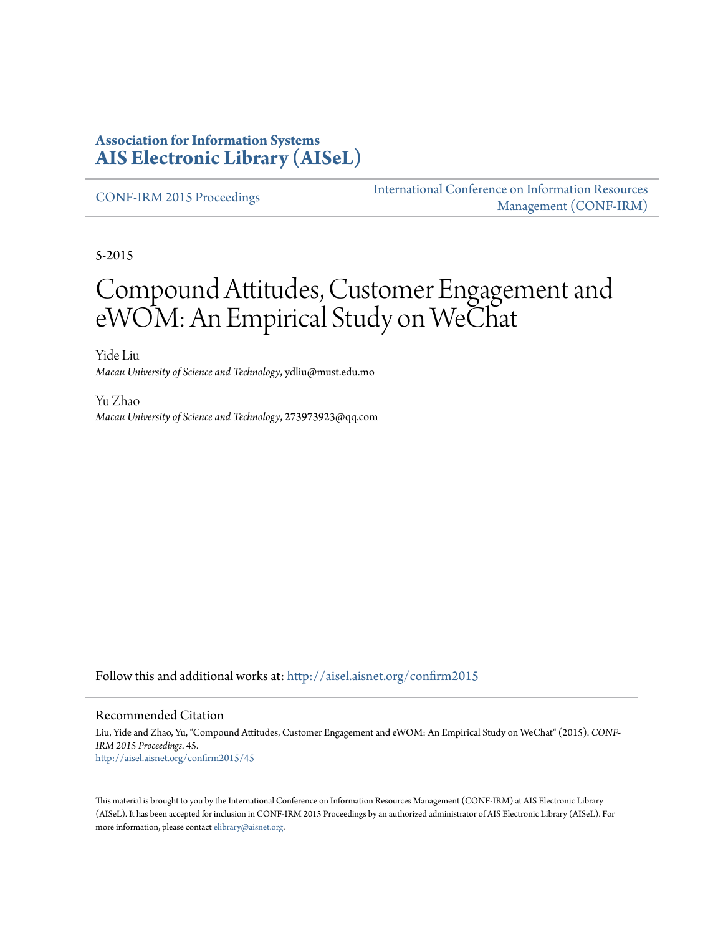### **Association for Information Systems [AIS Electronic Library \(AISeL\)](http://aisel.aisnet.org?utm_source=aisel.aisnet.org%2Fconfirm2015%2F45&utm_medium=PDF&utm_campaign=PDFCoverPages)**

[CONF-IRM 2015 Proceedings](http://aisel.aisnet.org/confirm2015?utm_source=aisel.aisnet.org%2Fconfirm2015%2F45&utm_medium=PDF&utm_campaign=PDFCoverPages)

[International Conference on Information Resources](http://aisel.aisnet.org/conf-irm?utm_source=aisel.aisnet.org%2Fconfirm2015%2F45&utm_medium=PDF&utm_campaign=PDFCoverPages) [Management \(CONF-IRM\)](http://aisel.aisnet.org/conf-irm?utm_source=aisel.aisnet.org%2Fconfirm2015%2F45&utm_medium=PDF&utm_campaign=PDFCoverPages)

5-2015

# Compound Attitudes, Customer Engagement and eWOM: An Empirical Study on WeChat

Yide Liu *Macau University of Science and Technology*, ydliu@must.edu.mo

Yu Zhao *Macau University of Science and Technology*, 273973923@qq.com

Follow this and additional works at: [http://aisel.aisnet.org/confirm2015](http://aisel.aisnet.org/confirm2015?utm_source=aisel.aisnet.org%2Fconfirm2015%2F45&utm_medium=PDF&utm_campaign=PDFCoverPages)

#### Recommended Citation

Liu, Yide and Zhao, Yu, "Compound Attitudes, Customer Engagement and eWOM: An Empirical Study on WeChat" (2015). *CONF-IRM 2015 Proceedings*. 45. [http://aisel.aisnet.org/confirm2015/45](http://aisel.aisnet.org/confirm2015/45?utm_source=aisel.aisnet.org%2Fconfirm2015%2F45&utm_medium=PDF&utm_campaign=PDFCoverPages)

This material is brought to you by the International Conference on Information Resources Management (CONF-IRM) at AIS Electronic Library (AISeL). It has been accepted for inclusion in CONF-IRM 2015 Proceedings by an authorized administrator of AIS Electronic Library (AISeL). For more information, please contact [elibrary@aisnet.org.](mailto:elibrary@aisnet.org%3E)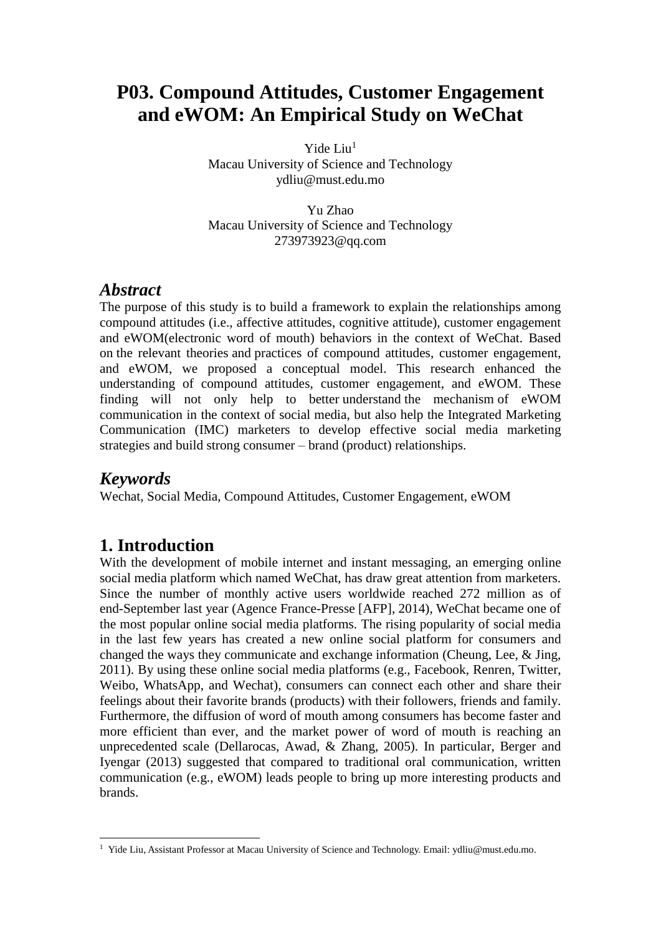## **P03. Compound Attitudes, Customer Engagement and eWOM: An Empirical Study on WeChat**

Yide Liu<sup>1</sup> Macau University of Science and Technology ydliu@must.edu.mo

Yu Zhao Macau University of Science and Technology 273973923@qq.com

### *Abstract*

The purpose of this study is to build a framework to explain the relationships among compound attitudes (i.e., affective attitudes, cognitive attitude), customer engagement and eWOM(electronic word of mouth) behaviors in the context of WeChat. Based on the relevant theories and practices of compound attitudes, customer engagement, and eWOM, we proposed a conceptual model. This research enhanced the understanding of compound attitudes, customer engagement, and eWOM. These finding will not only help to better understand the mechanism of eWOM communication in the context of social media, but also help the Integrated Marketing Communication (IMC) marketers to develop effective social media marketing strategies and build strong consumer – brand (product) relationships.

### *Keywords*

 $\overline{a}$ 

Wechat, Social Media, Compound Attitudes, Customer Engagement, eWOM

### **1. Introduction**

With the development of mobile internet and instant messaging, an emerging online social media platform which named WeChat, has draw great attention from marketers. Since the number of monthly active users worldwide reached 272 million as of end-September last year (Agence France-Presse [AFP], 2014), WeChat became one of the most popular online social media platforms. The rising popularity of social media in the last few years has created a new online social platform for consumers and changed the ways they communicate and exchange information (Cheung, Lee, & Jing, 2011). By using these online social media platforms (e.g., Facebook, Renren, Twitter, Weibo, WhatsApp, and Wechat), consumers can connect each other and share their feelings about their favorite brands (products) with their followers, friends and family. Furthermore, the diffusion of word of mouth among consumers has become faster and more efficient than ever, and the market power of word of mouth is reaching an unprecedented scale (Dellarocas, Awad, & Zhang, 2005). In particular, Berger and Iyengar (2013) suggested that compared to traditional oral communication, written communication (e.g., eWOM) leads people to bring up more interesting products and brands.

<sup>&</sup>lt;sup>1</sup> Yide Liu, Assistant Professor at Macau University of Science and Technology. Email: ydliu@must.edu.mo.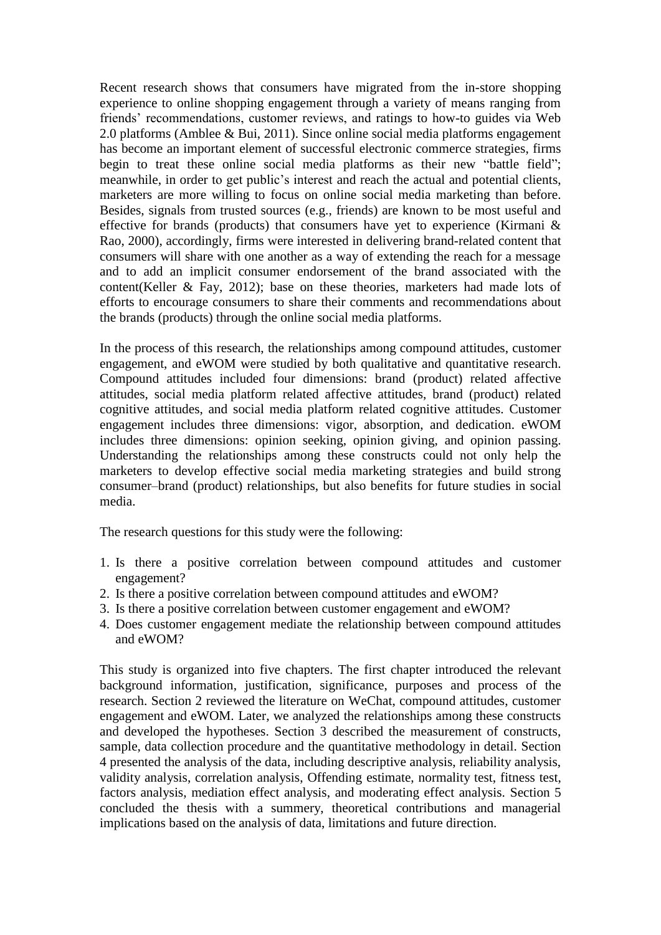Recent research shows that consumers have migrated from the in-store shopping experience to online shopping engagement through a variety of means ranging from friends' recommendations, customer reviews, and ratings to how-to guides via Web 2.0 platforms (Amblee & Bui, 2011). Since online social media platforms engagement has become an important element of successful electronic commerce strategies, firms begin to treat these online social media platforms as their new "battle field"; meanwhile, in order to get public's interest and reach the actual and potential clients, marketers are more willing to focus on online social media marketing than before. Besides, signals from trusted sources (e.g., friends) are known to be most useful and effective for brands (products) that consumers have yet to experience (Kirmani  $\&$ Rao, 2000), accordingly, firms were interested in delivering brand-related content that consumers will share with one another as a way of extending the reach for a message and to add an implicit consumer endorsement of the brand associated with the content(Keller & Fay, 2012); base on these theories, marketers had made lots of efforts to encourage consumers to share their comments and recommendations about the brands (products) through the online social media platforms.

In the process of this research, the relationships among compound attitudes, customer engagement, and eWOM were studied by both qualitative and quantitative research. Compound attitudes included four dimensions: brand (product) related affective attitudes, social media platform related affective attitudes, brand (product) related cognitive attitudes, and social media platform related cognitive attitudes. Customer engagement includes three dimensions: vigor, absorption, and dedication. eWOM includes three dimensions: opinion seeking, opinion giving, and opinion passing. Understanding the relationships among these constructs could not only help the marketers to develop effective social media marketing strategies and build strong consumer–brand (product) relationships, but also benefits for future studies in social media.

The research questions for this study were the following:

- 1. Is there a positive correlation between compound attitudes and customer engagement?
- 2. Is there a positive correlation between compound attitudes and eWOM?
- 3. Is there a positive correlation between customer engagement and eWOM?
- 4. Does customer engagement mediate the relationship between compound attitudes and eWOM?

This study is organized into five chapters. The first chapter introduced the relevant background information, justification, significance, purposes and process of the research. Section 2 reviewed the literature on WeChat, compound attitudes, customer engagement and eWOM. Later, we analyzed the relationships among these constructs and developed the hypotheses. Section 3 described the measurement of constructs, sample, data collection procedure and the quantitative methodology in detail. Section 4 presented the analysis of the data, including descriptive analysis, reliability analysis, validity analysis, correlation analysis, Offending estimate, normality test, fitness test, factors analysis, mediation effect analysis, and moderating effect analysis. Section 5 concluded the thesis with a summery, theoretical contributions and managerial implications based on the analysis of data, limitations and future direction.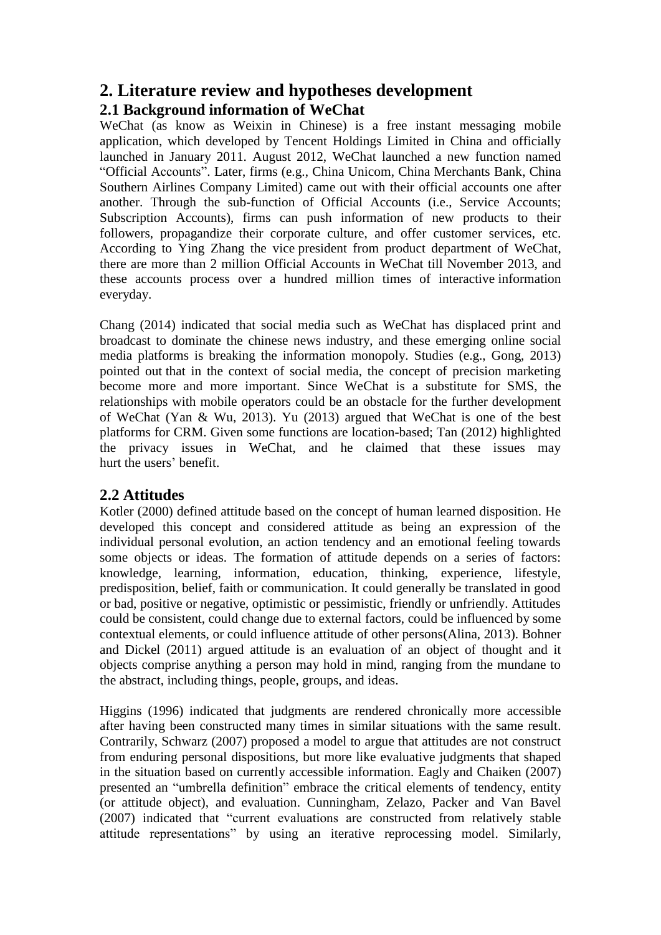# **2. Literature review and hypotheses development**

### **2.1 Background information of WeChat**

WeChat (as know as Weixin in Chinese) is a free instant messaging mobile application, which developed by Tencent Holdings Limited in China and officially launched in January 2011. August 2012, WeChat launched a new function named "Official Accounts". Later, firms (e.g., China Unicom, China Merchants Bank, China Southern Airlines Company Limited) came out with their official accounts one after another. Through the sub-function of Official Accounts (i.e., Service Accounts; Subscription Accounts), firms can push information of new products to their followers, propagandize their corporate culture, and offer customer services, etc. According to Ying Zhang the vice president from product department of WeChat, there are more than 2 million Official Accounts in WeChat till November 2013, and these accounts process over a hundred million times of interactive information everyday.

Chang (2014) indicated that social media such as WeChat has displaced print and broadcast to dominate the chinese news industry, and these emerging online social media platforms is breaking the information monopoly. Studies (e.g., Gong, 2013) pointed out that in the context of social media, the concept of precision marketing become more and more important. Since WeChat is a substitute for SMS, the relationships with mobile operators could be an obstacle for the further development of WeChat (Yan & Wu, 2013). Yu (2013) argued that WeChat is one of the best platforms for CRM. Given some functions are location-based; Tan (2012) highlighted the privacy issues in WeChat, and he claimed that these issues may hurt the users' benefit.

### **2.2 Attitudes**

Kotler (2000) defined attitude based on the concept of human learned disposition. He developed this concept and considered attitude as being an expression of the individual personal evolution, an action tendency and an emotional feeling towards some objects or ideas. The formation of attitude depends on a series of factors: knowledge, learning, information, education, thinking, experience, lifestyle, predisposition, belief, faith or communication. It could generally be translated in good or bad, positive or negative, optimistic or pessimistic, friendly or unfriendly. Attitudes could be consistent, could change due to external factors, could be influenced by some contextual elements, or could influence attitude of other persons(Alina, 2013). Bohner and Dickel (2011) argued attitude is an evaluation of an object of thought and it objects comprise anything a person may hold in mind, ranging from the mundane to the abstract, including things, people, groups, and ideas.

Higgins (1996) indicated that judgments are rendered chronically more accessible after having been constructed many times in similar situations with the same result. Contrarily, Schwarz (2007) proposed a model to argue that attitudes are not construct from enduring personal dispositions, but more like evaluative judgments that shaped in the situation based on currently accessible information. Eagly and Chaiken (2007) presented an "umbrella definition" embrace the critical elements of tendency, entity (or attitude object), and evaluation. Cunningham, Zelazo, Packer and Van Bavel (2007) indicated that "current evaluations are constructed from relatively stable attitude representations" by using an iterative reprocessing model. Similarly,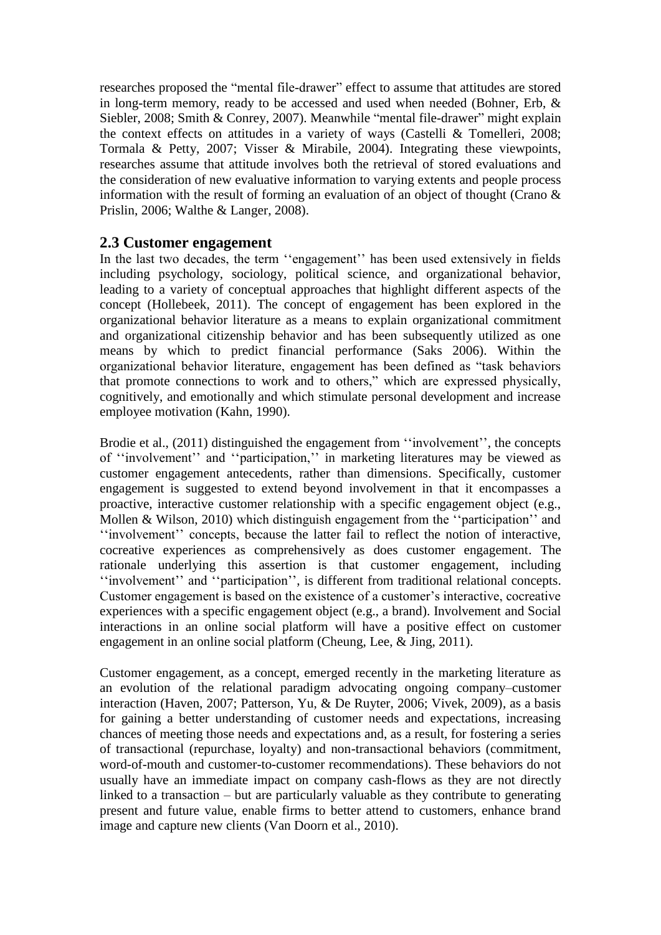researches proposed the "mental file-drawer" effect to assume that attitudes are stored in long-term memory, ready to be accessed and used when needed (Bohner, Erb, & Siebler, 2008; Smith & Conrey, 2007). Meanwhile "mental file-drawer" might explain the context effects on attitudes in a variety of ways (Castelli & Tomelleri, 2008; Tormala & Petty, 2007; Visser & Mirabile, 2004). Integrating these viewpoints, researches assume that attitude involves both the retrieval of stored evaluations and the consideration of new evaluative information to varying extents and people process information with the result of forming an evaluation of an object of thought (Crano & Prislin, 2006; Walthe & Langer, 2008).

#### **2.3 Customer engagement**

In the last two decades, the term ''engagement'' has been used extensively in fields including psychology, sociology, political science, and organizational behavior, leading to a variety of conceptual approaches that highlight different aspects of the concept (Hollebeek, 2011). The concept of engagement has been explored in the organizational behavior literature as a means to explain organizational commitment and organizational citizenship behavior and has been subsequently utilized as one means by which to predict financial performance (Saks 2006). Within the organizational behavior literature, engagement has been defined as "task behaviors that promote connections to work and to others," which are expressed physically, cognitively, and emotionally and which stimulate personal development and increase employee motivation (Kahn, 1990).

Brodie et al., (2011) distinguished the engagement from "involvement", the concepts of ''involvement'' and ''participation,'' in marketing literatures may be viewed as customer engagement antecedents, rather than dimensions. Specifically, customer engagement is suggested to extend beyond involvement in that it encompasses a proactive, interactive customer relationship with a specific engagement object (e.g., Mollen & Wilson, 2010) which distinguish engagement from the ''participation'' and ''involvement'' concepts, because the latter fail to reflect the notion of interactive, cocreative experiences as comprehensively as does customer engagement. The rationale underlying this assertion is that customer engagement, including ''involvement'' and ''participation'', is different from traditional relational concepts. Customer engagement is based on the existence of a customer's interactive, cocreative experiences with a specific engagement object (e.g., a brand). Involvement and Social interactions in an online social platform will have a positive effect on customer engagement in an online social platform (Cheung, Lee, & Jing, 2011).

Customer engagement, as a concept, emerged recently in the marketing literature as an evolution of the relational paradigm advocating ongoing company–customer interaction (Haven, 2007; Patterson, Yu, & De Ruyter, 2006; Vivek, 2009), as a basis for gaining a better understanding of customer needs and expectations, increasing chances of meeting those needs and expectations and, as a result, for fostering a series of transactional (repurchase, loyalty) and non-transactional behaviors (commitment, word-of-mouth and customer-to-customer recommendations). These behaviors do not usually have an immediate impact on company cash-flows as they are not directly linked to a transaction – but are particularly valuable as they contribute to generating present and future value, enable firms to better attend to customers, enhance brand image and capture new clients (Van Doorn et al., 2010).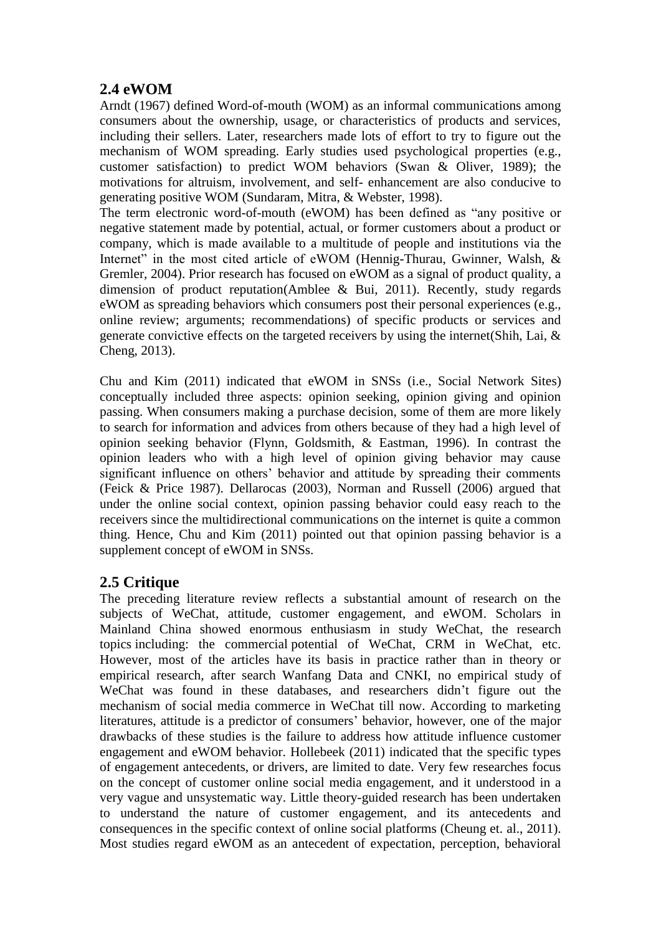### **2.4 eWOM**

Arndt (1967) defined Word-of-mouth (WOM) as an informal communications among consumers about the ownership, usage, or characteristics of products and services, including their sellers. Later, researchers made lots of effort to try to figure out the mechanism of WOM spreading. Early studies used psychological properties (e.g., customer satisfaction) to predict WOM behaviors (Swan & Oliver, 1989); the motivations for altruism, involvement, and self- enhancement are also conducive to generating positive WOM (Sundaram, Mitra, & Webster, 1998).

The term electronic word-of-mouth (eWOM) has been defined as "any positive or negative statement made by potential, actual, or former customers about a product or company, which is made available to a multitude of people and institutions via the Internet" in the most cited article of eWOM (Hennig-Thurau, Gwinner, Walsh, & Gremler, 2004). Prior research has focused on eWOM as a signal of product quality, a dimension of product reputation(Amblee  $\&$  Bui, 2011). Recently, study regards eWOM as spreading behaviors which consumers post their personal experiences (e.g., online review; arguments; recommendations) of specific products or services and generate convictive effects on the targeted receivers by using the internet(Shih, Lai, & Cheng, 2013).

Chu and Kim (2011) indicated that eWOM in SNSs (i.e., Social Network Sites) conceptually included three aspects: opinion seeking, opinion giving and opinion passing. When consumers making a purchase decision, some of them are more likely to search for information and advices from others because of they had a high level of opinion seeking behavior (Flynn, Goldsmith, & Eastman, 1996). In contrast the opinion leaders who with a high level of opinion giving behavior may cause significant influence on others' behavior and attitude by spreading their comments (Feick & Price 1987). Dellarocas (2003), Norman and Russell (2006) argued that under the online social context, opinion passing behavior could easy reach to the receivers since the multidirectional communications on the internet is quite a common thing. Hence, Chu and Kim (2011) pointed out that opinion passing behavior is a supplement concept of eWOM in SNSs.

### **2.5 Critique**

The preceding literature review reflects a substantial amount of research on the subjects of WeChat, attitude, customer engagement, and eWOM. Scholars in Mainland China showed enormous enthusiasm in study WeChat, the research topics including: the commercial potential of WeChat, CRM in WeChat, etc. However, most of the articles have its basis in practice rather than in theory or empirical research, after search Wanfang Data and CNKI, no empirical study of WeChat was found in these databases, and researchers didn't figure out the mechanism of social media commerce in WeChat till now. According to marketing literatures, attitude is a predictor of consumers' behavior, however, one of the major drawbacks of these studies is the failure to address how attitude influence customer engagement and eWOM behavior. Hollebeek (2011) indicated that the specific types of engagement antecedents, or drivers, are limited to date. Very few researches focus on the concept of customer online social media engagement, and it understood in a very vague and unsystematic way. Little theory-guided research has been undertaken to understand the nature of customer engagement, and its antecedents and consequences in the specific context of online social platforms (Cheung et. al., 2011). Most studies regard eWOM as an antecedent of expectation, perception, behavioral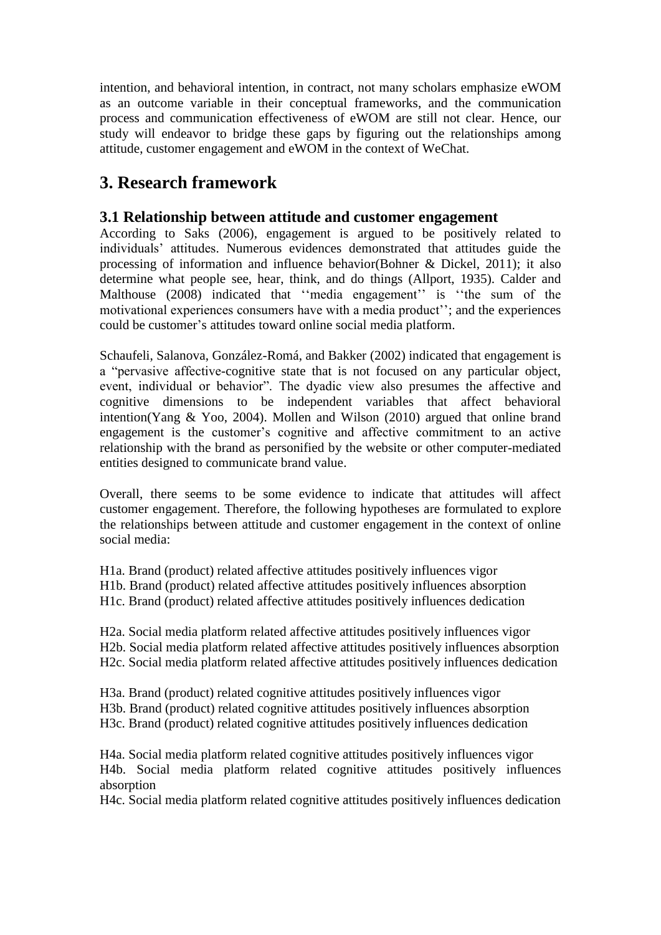intention, and behavioral intention, in contract, not many scholars emphasize eWOM as an outcome variable in their conceptual frameworks, and the communication process and communication effectiveness of eWOM are still not clear. Hence, our study will endeavor to bridge these gaps by figuring out the relationships among attitude, customer engagement and eWOM in the context of WeChat.

## **3. Research framework**

### **3.1 Relationship between attitude and customer engagement**

According to Saks (2006), engagement is argued to be positively related to individuals' attitudes. Numerous evidences demonstrated that attitudes guide the processing of information and influence behavior(Bohner & Dickel, 2011); it also determine what people see, hear, think, and do things (Allport, 1935). Calder and Malthouse (2008) indicated that ''media engagement'' is ''the sum of the motivational experiences consumers have with a media product''; and the experiences could be customer's attitudes toward online social media platform.

Schaufeli, Salanova, González-Romá, and Bakker (2002) indicated that engagement is a "pervasive affective-cognitive state that is not focused on any particular object, event, individual or behavior". The dyadic view also presumes the affective and cognitive dimensions to be independent variables that affect behavioral intention(Yang & Yoo, 2004). Mollen and Wilson (2010) argued that online brand engagement is the customer's cognitive and affective commitment to an active relationship with the brand as personified by the website or other computer-mediated entities designed to communicate brand value.

Overall, there seems to be some evidence to indicate that attitudes will affect customer engagement. Therefore, the following hypotheses are formulated to explore the relationships between attitude and customer engagement in the context of online social media:

H1a. Brand (product) related affective attitudes positively influences vigor H1b. Brand (product) related affective attitudes positively influences absorption H1c. Brand (product) related affective attitudes positively influences dedication

H2a. Social media platform related affective attitudes positively influences vigor H2b. Social media platform related affective attitudes positively influences absorption H2c. Social media platform related affective attitudes positively influences dedication

H3a. Brand (product) related cognitive attitudes positively influences vigor

H3b. Brand (product) related cognitive attitudes positively influences absorption

H3c. Brand (product) related cognitive attitudes positively influences dedication

H4a. Social media platform related cognitive attitudes positively influences vigor H4b. Social media platform related cognitive attitudes positively influences absorption

H4c. Social media platform related cognitive attitudes positively influences dedication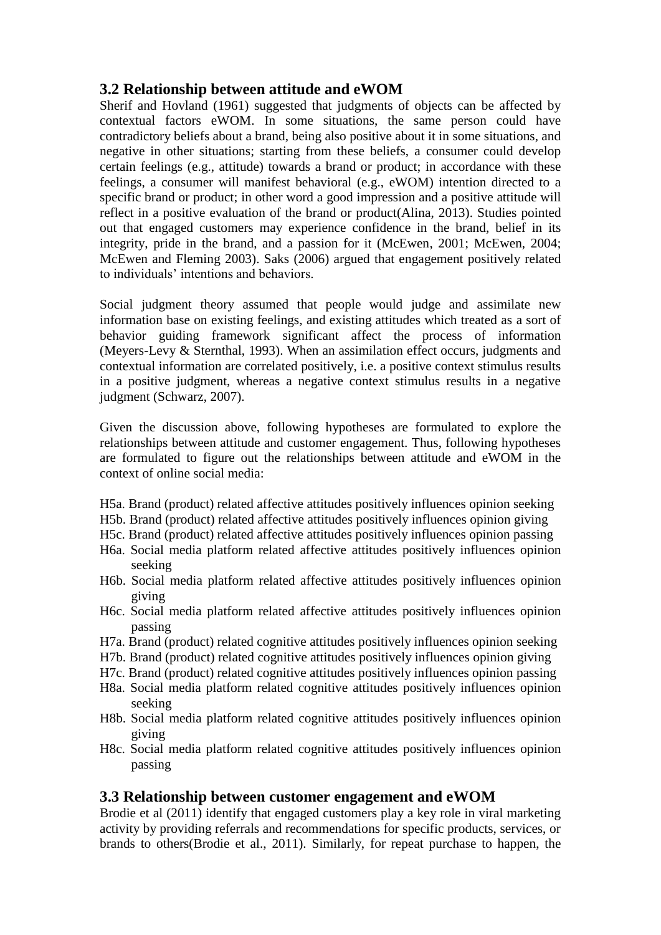### **3.2 Relationship between attitude and eWOM**

Sherif and Hovland (1961) suggested that judgments of objects can be affected by contextual factors eWOM. In some situations, the same person could have contradictory beliefs about a brand, being also positive about it in some situations, and negative in other situations; starting from these beliefs, a consumer could develop certain feelings (e.g., attitude) towards a brand or product; in accordance with these feelings, a consumer will manifest behavioral (e.g., eWOM) intention directed to a specific brand or product; in other word a good impression and a positive attitude will reflect in a positive evaluation of the brand or product(Alina, 2013). Studies pointed out that engaged customers may experience confidence in the brand, belief in its integrity, pride in the brand, and a passion for it (McEwen, 2001; McEwen, 2004; McEwen and Fleming 2003). Saks (2006) argued that engagement positively related to individuals' intentions and behaviors.

Social judgment theory assumed that people would judge and assimilate new information base on existing feelings, and existing attitudes which treated as a sort of behavior guiding framework significant affect the process of information (Meyers-Levy & Sternthal, 1993). When an assimilation effect occurs, judgments and contextual information are [correlated](http://en.wikipedia.org/wiki/Correlation_and_dependence) positively, i.e. a positive context stimulus results in a positive judgment, whereas a negative context stimulus results in a negative judgment (Schwarz, 2007).

Given the discussion above, following hypotheses are formulated to explore the relationships between attitude and customer engagement. Thus, following hypotheses are formulated to figure out the relationships between attitude and eWOM in the context of online social media:

- H5a. Brand (product) related affective attitudes positively influences opinion seeking
- H5b. Brand (product) related affective attitudes positively influences opinion giving
- H5c. Brand (product) related affective attitudes positively influences opinion passing
- H6a. Social media platform related affective attitudes positively influences opinion seeking
- H6b. Social media platform related affective attitudes positively influences opinion giving
- H6c. Social media platform related affective attitudes positively influences opinion passing
- H7a. Brand (product) related cognitive attitudes positively influences opinion seeking
- H7b. Brand (product) related cognitive attitudes positively influences opinion giving
- H7c. Brand (product) related cognitive attitudes positively influences opinion passing
- H8a. Social media platform related cognitive attitudes positively influences opinion seeking
- H8b. Social media platform related cognitive attitudes positively influences opinion giving
- H8c. Social media platform related cognitive attitudes positively influences opinion passing

### **3.3 Relationship between customer engagement and eWOM**

Brodie et al (2011) identify that engaged customers play a key role in viral marketing activity by providing referrals and recommendations for specific products, services, or brands to others(Brodie et al., 2011). Similarly, for repeat purchase to happen, the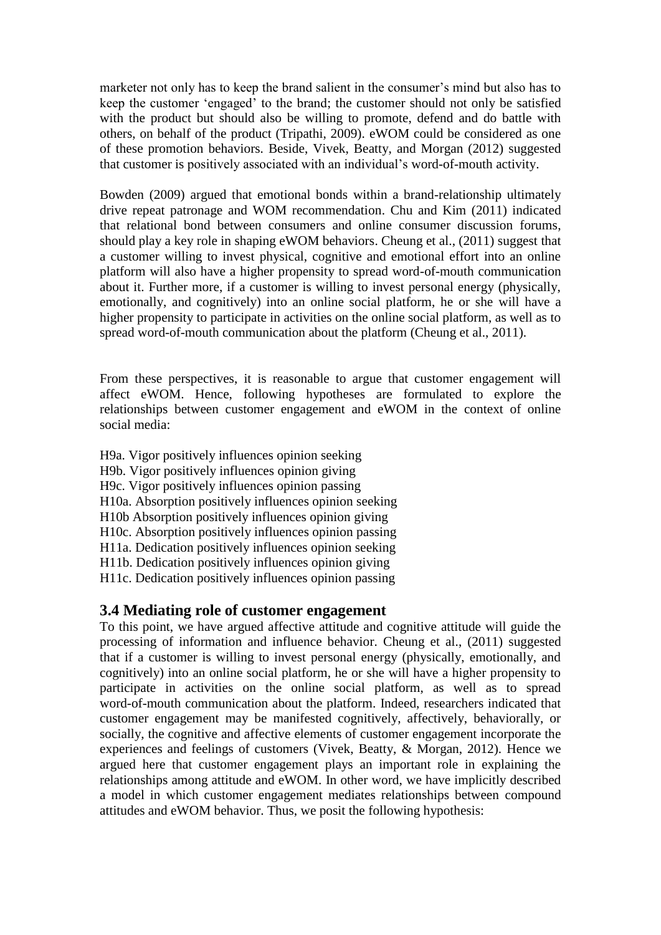marketer not only has to keep the brand salient in the consumer's mind but also has to keep the customer 'engaged' to the brand; the customer should not only be satisfied with the product but should also be willing to promote, defend and do battle with others, on behalf of the product (Tripathi, 2009). eWOM could be considered as one of these promotion behaviors. Beside, Vivek, Beatty, and Morgan (2012) suggested that customer is positively associated with an individual's word-of-mouth activity.

Bowden (2009) argued that emotional bonds within a brand-relationship ultimately drive repeat patronage and WOM recommendation. Chu and Kim (2011) indicated that relational bond between consumers and online consumer discussion forums, should play a key role in shaping eWOM behaviors. Cheung et al., (2011) suggest that a customer willing to invest physical, cognitive and emotional effort into an online platform will also have a higher propensity to spread word-of-mouth communication about it. Further more, if a customer is willing to invest personal energy (physically, emotionally, and cognitively) into an online social platform, he or she will have a higher propensity to participate in activities on the online social platform, as well as to spread word-of-mouth communication about the platform (Cheung et al., 2011).

From these perspectives, it is reasonable to argue that customer engagement will affect eWOM. Hence, following hypotheses are formulated to explore the relationships between customer engagement and eWOM in the context of online social media:

H9a. Vigor positively influences opinion seeking H9b. Vigor positively influences opinion giving H9c. Vigor positively influences opinion passing H10a. Absorption positively influences opinion seeking H10b Absorption positively influences opinion giving H10c. Absorption positively influences opinion passing H11a. Dedication positively influences opinion seeking H11b. Dedication positively influences opinion giving H11c. Dedication positively influences opinion passing

#### **3.4 Mediating role of customer engagement**

To this point, we have argued affective attitude and cognitive attitude will guide the processing of information and influence behavior. Cheung et al., (2011) suggested that if a customer is willing to invest personal energy (physically, emotionally, and cognitively) into an online social platform, he or she will have a higher propensity to participate in activities on the online social platform, as well as to spread word-of-mouth communication about the platform. Indeed, researchers indicated that customer engagement may be manifested cognitively, affectively, behaviorally, or socially, the cognitive and affective elements of customer engagement incorporate the experiences and feelings of customers (Vivek, Beatty, & Morgan, 2012). Hence we argued here that customer engagement plays an important role in explaining the relationships among attitude and eWOM. In other word, we have implicitly described a model in which customer engagement mediates relationships between compound attitudes and eWOM behavior. Thus, we posit the following hypothesis: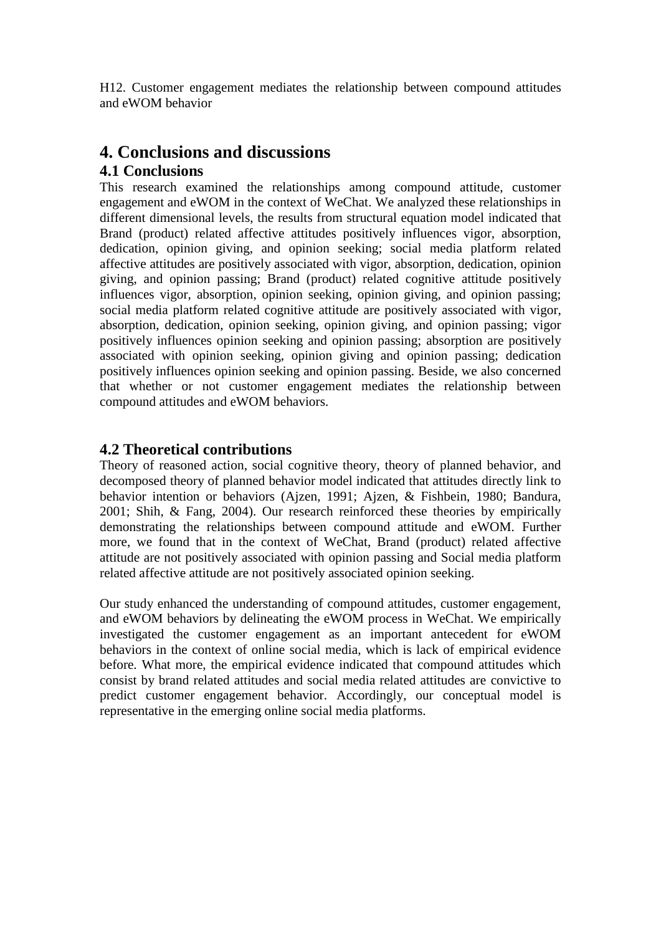H12. Customer engagement mediates the relationship between compound attitudes and eWOM behavior

# **4. Conclusions and discussions**

#### **4.1 Conclusions**

This research examined the relationships among compound attitude, customer engagement and eWOM in the context of WeChat. We analyzed these relationships in different dimensional levels, the results from structural equation model indicated that Brand (product) related affective attitudes positively influences vigor, absorption, dedication, opinion giving, and opinion seeking; social media platform related affective attitudes are positively associated with vigor, absorption, dedication, opinion giving, and opinion passing; Brand (product) related cognitive attitude positively influences vigor, absorption, opinion seeking, opinion giving, and opinion passing; social media platform related cognitive attitude are positively associated with vigor, absorption, dedication, opinion seeking, opinion giving, and opinion passing; vigor positively influences opinion seeking and opinion passing; absorption are positively associated with opinion seeking, opinion giving and opinion passing; dedication positively influences opinion seeking and opinion passing. Beside, we also concerned that whether or not customer engagement mediates the relationship between compound attitudes and eWOM behaviors.

### **4.2 Theoretical contributions**

Theory of reasoned action, social cognitive theory, theory of planned behavior, and decomposed theory of planned behavior model indicated that attitudes directly link to behavior intention or behaviors (Ajzen, 1991; Ajzen, & Fishbein, 1980; Bandura, 2001; Shih, & Fang, 2004). Our research reinforced these theories by empirically demonstrating the relationships between compound attitude and eWOM. Further more, we found that in the context of WeChat, Brand (product) related affective attitude are not positively associated with opinion passing and Social media platform related affective attitude are not positively associated opinion seeking.

Our study enhanced the understanding of compound attitudes, customer engagement, and eWOM behaviors by delineating the eWOM process in WeChat. We empirically investigated the customer engagement as an important antecedent for eWOM behaviors in the context of online social media, which is lack of empirical evidence before. What more, the empirical evidence indicated that compound attitudes which consist by brand related attitudes and social media related attitudes are convictive to predict customer engagement behavior. Accordingly, our conceptual model is representative in the emerging online social media platforms.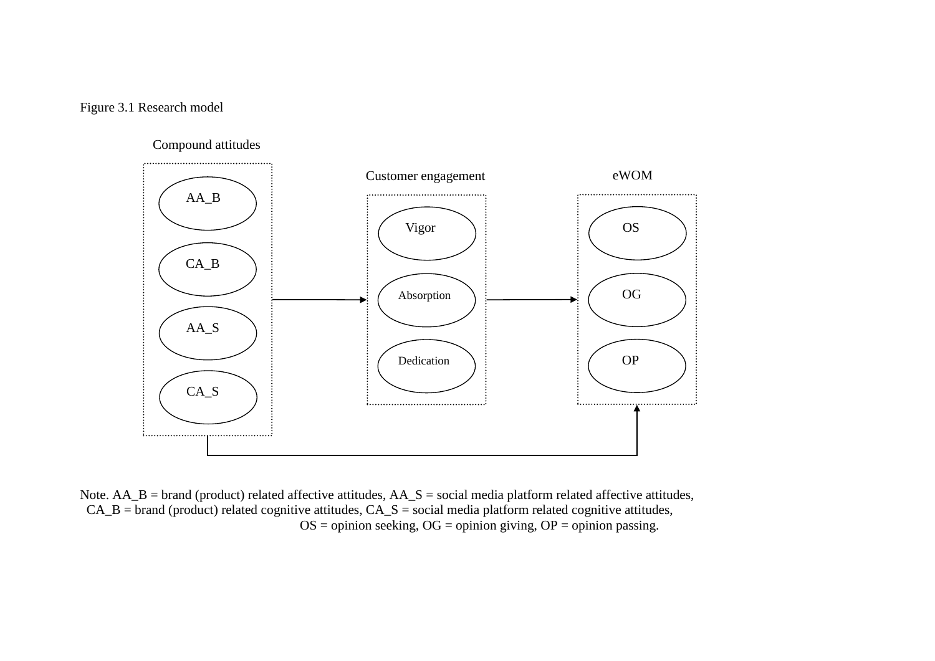#### Figure 3.1 Research model

#### Compound attitudes



Note. AA\_B = brand (product) related affective attitudes, AA\_S = social media platform related affective attitudes, CA\_B = brand (product) related cognitive attitudes, CA\_S = social media platform related cognitive attitudes,  $OS =$  opinion seeking,  $OG =$  opinion giving,  $OP =$  opinion passing.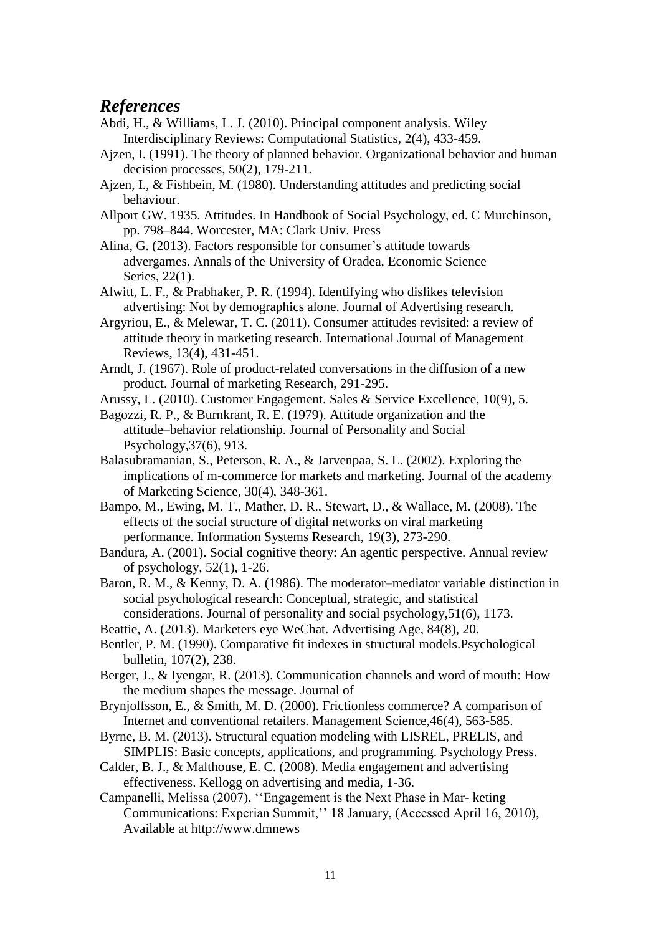### *References*

- Abdi, H., & Williams, L. J. (2010). Principal component analysis. Wiley Interdisciplinary Reviews: Computational Statistics, 2(4), 433-459.
- Ajzen, I. (1991). The theory of planned behavior. Organizational behavior and human decision processes, 50(2), 179-211.
- Ajzen, I., & Fishbein, M. (1980). Understanding attitudes and predicting social behaviour.
- Allport GW. 1935. Attitudes. In Handbook of Social Psychology, ed. C Murchinson, pp. 798–844. Worcester, MA: Clark Univ. Press
- Alina, G. (2013). Factors responsible for consumer's attitude towards advergames. Annals of the University of Oradea, Economic Science Series, 22(1).
- Alwitt, L. F., & Prabhaker, P. R. (1994). Identifying who dislikes television advertising: Not by demographics alone. Journal of Advertising research.
- Argyriou, E., & Melewar, T. C. (2011). Consumer attitudes revisited: a review of attitude theory in marketing research. International Journal of Management Reviews, 13(4), 431-451.
- Arndt, J. (1967). Role of product-related conversations in the diffusion of a new product. Journal of marketing Research, 291-295.
- Arussy, L. (2010). Customer Engagement. Sales & Service Excellence, 10(9), 5.
- Bagozzi, R. P., & Burnkrant, R. E. (1979). Attitude organization and the attitude–behavior relationship. Journal of Personality and Social Psychology,37(6), 913.
- Balasubramanian, S., Peterson, R. A., & Jarvenpaa, S. L. (2002). Exploring the implications of m-commerce for markets and marketing. Journal of the academy of Marketing Science, 30(4), 348-361.
- Bampo, M., Ewing, M. T., Mather, D. R., Stewart, D., & Wallace, M. (2008). The effects of the social structure of digital networks on viral marketing performance. Information Systems Research, 19(3), 273-290.
- Bandura, A. (2001). Social cognitive theory: An agentic perspective. Annual review of psychology, 52(1), 1-26.
- Baron, R. M., & Kenny, D. A. (1986). The moderator–mediator variable distinction in social psychological research: Conceptual, strategic, and statistical considerations. Journal of personality and social psychology,51(6), 1173.
- Beattie, A. (2013). Marketers eye WeChat. Advertising Age, 84(8), 20.
- Bentler, P. M. (1990). Comparative fit indexes in structural models.Psychological bulletin, 107(2), 238.
- Berger, J., & Iyengar, R. (2013). Communication channels and word of mouth: How the medium shapes the message. Journal of
- Brynjolfsson, E., & Smith, M. D. (2000). Frictionless commerce? A comparison of Internet and conventional retailers. Management Science,46(4), 563-585.
- Byrne, B. M. (2013). Structural equation modeling with LISREL, PRELIS, and SIMPLIS: Basic concepts, applications, and programming. Psychology Press.
- Calder, B. J., & Malthouse, E. C. (2008). Media engagement and advertising effectiveness. Kellogg on advertising and media, 1-36.
- Campanelli, Melissa (2007), ''Engagement is the Next Phase in Mar- keting Communications: Experian Summit,'' 18 January, (Accessed April 16, 2010), Available at http://www.dmnews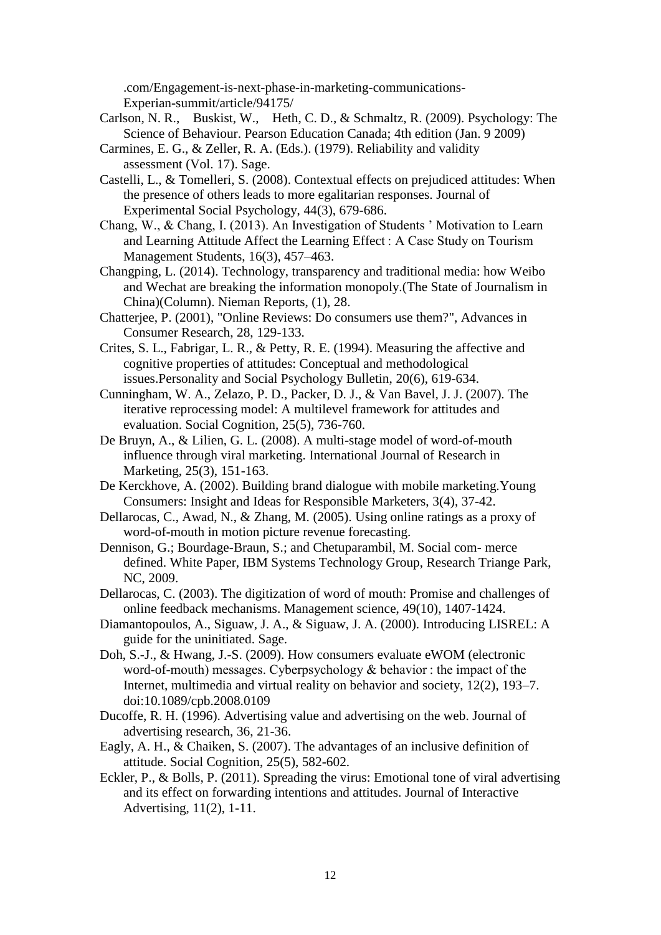.com/Engagement-is-next-phase-in-marketing-communications-Experian-summit/article/94175/

- Carlson, [N. R.,](http://www.amazon.ca/s/186-8262437-0790653?_encoding=UTF8&field-author=Neil%20R.%20Carlson&search-alias=books-ca) Buskist, [W.,](http://www.amazon.ca/s/186-8262437-0790653?_encoding=UTF8&field-author=William%20Buskist&search-alias=books-ca) Heth, [C. D., &](http://www.amazon.ca/s/186-8262437-0790653?_encoding=UTF8&field-author=C.%20Donald%20Heth&search-alias=books-ca) Schmaltz, [R. \(](http://www.amazon.ca/s/186-8262437-0790653?_encoding=UTF8&field-author=Rod%20Schmaltz&search-alias=books-ca)2009). Psychology: The Science of Behaviour. Pearson Education Canada; 4th edition (Jan. 9 2009)
- Carmines, E. G., & Zeller, R. A. (Eds.). (1979). Reliability and validity assessment (Vol. 17). Sage.
- Castelli, L., & Tomelleri, S. (2008). Contextual effects on prejudiced attitudes: When the presence of others leads to more egalitarian responses. Journal of Experimental Social Psychology, 44(3), 679-686.
- Chang, W., & Chang, I. (2013). An Investigation of Students ' Motivation to Learn and Learning Attitude Affect the Learning Effect : A Case Study on Tourism Management Students, 16(3), 457–463.
- Changping, L. (2014). Technology, transparency and traditional media: how Weibo and Wechat are breaking the information monopoly.(The State of Journalism in China)(Column). Nieman Reports, (1), 28.
- Chatterjee, P. (2001), "Online Reviews: Do consumers use them?", Advances in Consumer Research, 28, 129-133.
- Crites, S. L., Fabrigar, L. R., & Petty, R. E. (1994). Measuring the affective and cognitive properties of attitudes: Conceptual and methodological issues.Personality and Social Psychology Bulletin, 20(6), 619-634.
- Cunningham, W. A., Zelazo, P. D., Packer, D. J., & Van Bavel, J. J. (2007). The iterative reprocessing model: A multilevel framework for attitudes and evaluation. Social Cognition, 25(5), 736-760.
- De Bruyn, A., & Lilien, G. L. (2008). A multi-stage model of word-of-mouth influence through viral marketing. International Journal of Research in Marketing, 25(3), 151-163.
- De Kerckhove, A. (2002). Building brand dialogue with mobile marketing.Young Consumers: Insight and Ideas for Responsible Marketers, 3(4), 37-42.
- Dellarocas, C., Awad, N., & Zhang, M. (2005). Using online ratings as a proxy of word-of-mouth in motion picture revenue forecasting.
- Dennison, G.; Bourdage-Braun, S.; and Chetuparambil, M. Social com- merce defined. White Paper, IBM Systems Technology Group, Research Triange Park, NC, 2009.
- Dellarocas, C. (2003). The digitization of word of mouth: Promise and challenges of online feedback mechanisms. Management science, 49(10), 1407-1424.
- Diamantopoulos, A., Siguaw, J. A., & Siguaw, J. A. (2000). Introducing LISREL: A guide for the uninitiated. Sage.
- Doh, S.-J., & Hwang, J.-S. (2009). How consumers evaluate eWOM (electronic word-of-mouth) messages. Cyberpsychology & behavior : the impact of the Internet, multimedia and virtual reality on behavior and society, 12(2), 193–7. doi:10.1089/cpb.2008.0109
- Ducoffe, R. H. (1996). Advertising value and advertising on the web. Journal of advertising research, 36, 21-36.
- Eagly, A. H., & Chaiken, S. (2007). The advantages of an inclusive definition of attitude. Social Cognition, 25(5), 582-602.
- Eckler, P., & Bolls, P. (2011). Spreading the virus: Emotional tone of viral advertising and its effect on forwarding intentions and attitudes. Journal of Interactive Advertising, 11(2), 1-11.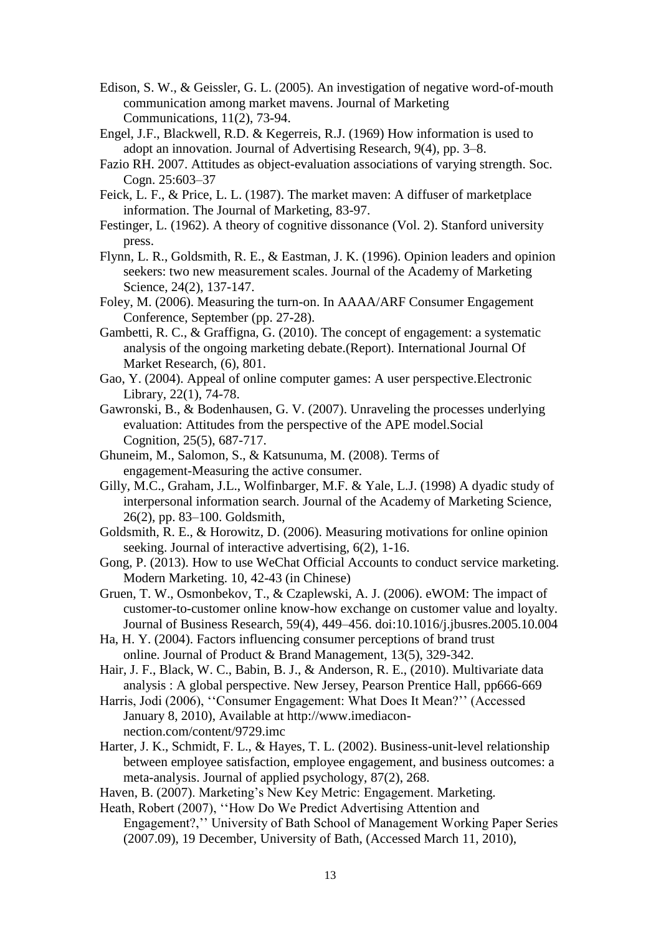- Edison, S. W., & Geissler, G. L. (2005). An investigation of negative word-of-mouth communication among market mavens. Journal of Marketing Communications, 11(2), 73-94.
- Engel, J.F., Blackwell, R.D. & Kegerreis, R.J. (1969) How information is used to adopt an innovation. Journal of Advertising Research, 9(4), pp. 3–8.
- Fazio RH. 2007. Attitudes as object-evaluation associations of varying strength. Soc. Cogn. 25:603–37
- Feick, L. F., & Price, L. L. (1987). The market maven: A diffuser of marketplace information. The Journal of Marketing, 83-97.
- Festinger, L. (1962). A theory of cognitive dissonance (Vol. 2). Stanford university press.
- Flynn, L. R., Goldsmith, R. E., & Eastman, J. K. (1996). Opinion leaders and opinion seekers: two new measurement scales. Journal of the Academy of Marketing Science, 24(2), 137-147.
- Foley, M. (2006). Measuring the turn-on. In AAAA/ARF Consumer Engagement Conference, September (pp. 27-28).
- Gambetti, R. C., & Graffigna, G. (2010). The concept of engagement: a systematic analysis of the ongoing marketing debate.(Report). International Journal Of Market Research, (6), 801.
- Gao, Y. (2004). Appeal of online computer games: A user perspective.Electronic Library, 22(1), 74-78.
- Gawronski, B., & Bodenhausen, G. V. (2007). Unraveling the processes underlying evaluation: Attitudes from the perspective of the APE model.Social Cognition, 25(5), 687-717.
- Ghuneim, M., Salomon, S., & Katsunuma, M. (2008). Terms of engagement-Measuring the active consumer.
- Gilly, M.C., Graham, J.L., Wolfinbarger, M.F. & Yale, L.J. (1998) A dyadic study of interpersonal information search. Journal of the Academy of Marketing Science, 26(2), pp. 83–100. Goldsmith,
- Goldsmith, R. E., & Horowitz, D. (2006). Measuring motivations for online opinion seeking. Journal of interactive advertising, 6(2), 1-16.
- Gong, P. (2013). How to use WeChat Official Accounts to conduct service marketing. [Modern Marketing.](http://c.g.wanfangdata.com.hk.libezproxy.must.edu.mo/Periodical-xiandaiyx.aspx) 10, 42-43 (in Chinese)
- Gruen, T. W., Osmonbekov, T., & Czaplewski, A. J. (2006). eWOM: The impact of customer-to-customer online know-how exchange on customer value and loyalty. Journal of Business Research, 59(4), 449–456. doi:10.1016/j.jbusres.2005.10.004
- Ha, H. Y. (2004). Factors influencing consumer perceptions of brand trust online. Journal of Product & Brand Management, 13(5), 329-342.
- Hair, J. F., Black, W. C., Babin, B. J., & Anderson, R. E., (2010). Multivariate data analysis : A global perspective. New Jersey, Pearson Prentice Hall, pp666-669
- Harris, Jodi (2006), ''Consumer Engagement: What Does It Mean?'' (Accessed January 8, 2010), Available at http://www.imediaconnection.com/content/9729.imc
- Harter, J. K., Schmidt, F. L., & Hayes, T. L. (2002). Business-unit-level relationship between employee satisfaction, employee engagement, and business outcomes: a meta-analysis. Journal of applied psychology, 87(2), 268.
- Haven, B. (2007). Marketing's New Key Metric: Engagement. Marketing.
- Heath, Robert (2007), ''How Do We Predict Advertising Attention and Engagement?,'' University of Bath School of Management Working Paper Series (2007.09), 19 December, University of Bath, (Accessed March 11, 2010),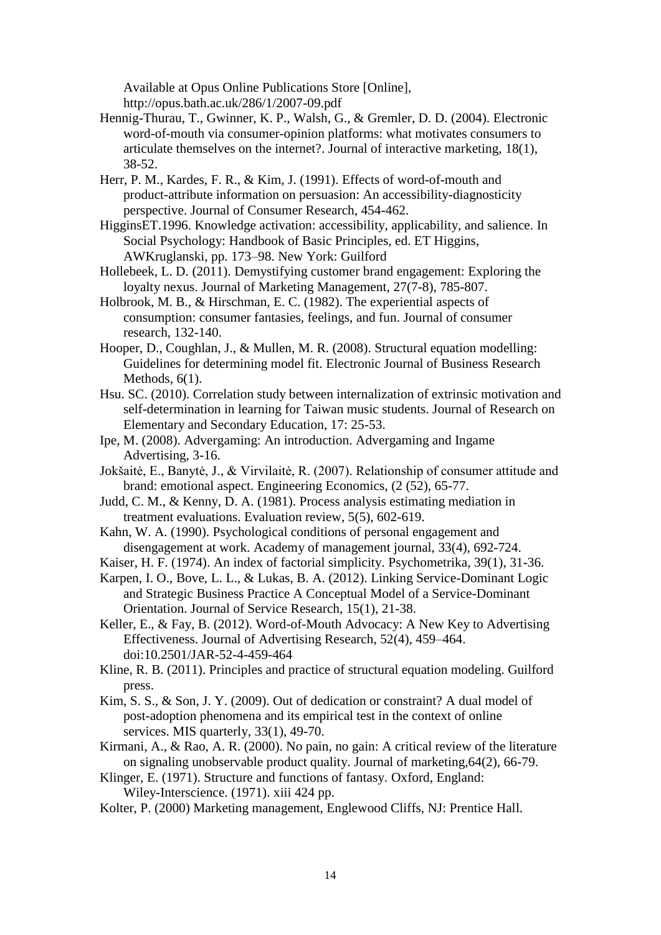Available at Opus Online Publications Store [Online], http://opus.bath.ac.uk/286/1/2007-09.pdf

- Hennig-Thurau, T., Gwinner, K. P., Walsh, G., & Gremler, D. D. (2004). Electronic word-of-mouth via consumer-opinion platforms: what motivates consumers to articulate themselves on the internet?. Journal of interactive marketing, 18(1), 38-52.
- Herr, P. M., Kardes, F. R., & Kim, J. (1991). Effects of word-of-mouth and product-attribute information on persuasion: An accessibility-diagnosticity perspective. Journal of Consumer Research, 454-462.
- HigginsET.1996. Knowledge activation: accessibility, applicability, and salience. In Social Psychology: Handbook of Basic Principles, ed. ET Higgins, AWKruglanski, pp. 173–98. New York: Guilford
- Hollebeek, L. D. (2011). Demystifying customer brand engagement: Exploring the loyalty nexus. Journal of Marketing Management, 27(7-8), 785-807.
- Holbrook, M. B., & Hirschman, E. C. (1982). The experiential aspects of consumption: consumer fantasies, feelings, and fun. Journal of consumer research, 132-140.
- Hooper, D., Coughlan, J., & Mullen, M. R. (2008). Structural equation modelling: Guidelines for determining model fit. Electronic Journal of Business Research Methods,  $6(1)$ .
- Hsu. SC. (2010). Correlation study between internalization of extrinsic motivation and self-determination in learning for Taiwan music students. Journal of Research on Elementary and Secondary Education, 17: 25-53.
- Ipe, M. (2008). Advergaming: An introduction. Advergaming and Ingame Advertising, 3-16.
- Jokšaitė, E., Banytė, J., & Virvilaitė, R. (2007). Relationship of consumer attitude and brand: emotional aspect. Engineering Economics, (2 (52), 65-77.
- Judd, C. M., & Kenny, D. A. (1981). Process analysis estimating mediation in treatment evaluations. Evaluation review, 5(5), 602-619.
- Kahn, W. A. (1990). Psychological conditions of personal engagement and disengagement at work. Academy of management journal, 33(4), 692-724.

Kaiser, H. F. (1974). An index of factorial simplicity. Psychometrika, 39(1), 31-36.

- Karpen, I. O., Bove, L. L., & Lukas, B. A. (2012). Linking Service-Dominant Logic and Strategic Business Practice A Conceptual Model of a Service-Dominant Orientation. Journal of Service Research, 15(1), 21-38.
- Keller, E., & Fay, B. (2012). Word-of-Mouth Advocacy: A New Key to Advertising Effectiveness. Journal of Advertising Research, 52(4), 459–464. doi:10.2501/JAR-52-4-459-464
- Kline, R. B. (2011). Principles and practice of structural equation modeling. Guilford press.
- Kim, S. S., & Son, J. Y. (2009). Out of dedication or constraint? A dual model of post-adoption phenomena and its empirical test in the context of online services. MIS quarterly, 33(1), 49-70.
- Kirmani, A., & Rao, A. R. (2000). No pain, no gain: A critical review of the literature on signaling unobservable product quality. Journal of marketing,64(2), 66-79.
- Klinger, E. (1971). Structure and functions of fantasy. Oxford, England: Wiley-Interscience. (1971). xiii 424 pp.
- Kolter, P. (2000) Marketing management, Englewood Cliffs, NJ: Prentice Hall.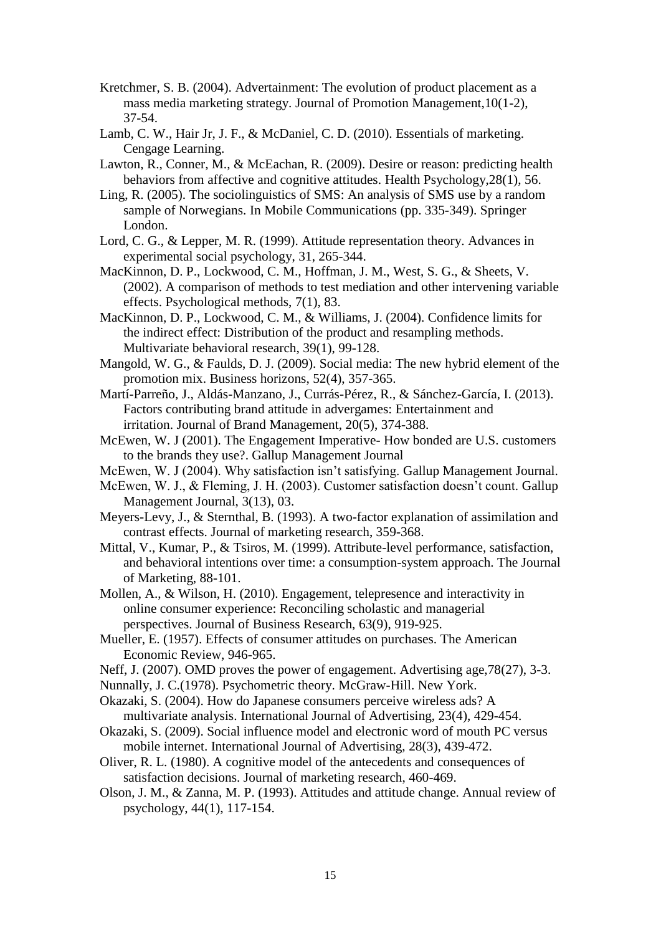- Kretchmer, S. B. (2004). Advertainment: The evolution of product placement as a mass media marketing strategy. Journal of Promotion Management,10(1-2), 37-54.
- Lamb, C. W., Hair Jr, J. F., & McDaniel, C. D. (2010). Essentials of marketing. Cengage Learning.
- Lawton, R., Conner, M., & McEachan, R. (2009). Desire or reason: predicting health behaviors from affective and cognitive attitudes. Health Psychology,28(1), 56.
- Ling, R. (2005). The sociolinguistics of SMS: An analysis of SMS use by a random sample of Norwegians. In Mobile Communications (pp. 335-349). Springer London.
- Lord, C. G., & Lepper, M. R. (1999). Attitude representation theory. Advances in experimental social psychology, 31, 265-344.
- MacKinnon, D. P., Lockwood, C. M., Hoffman, J. M., West, S. G., & Sheets, V. (2002). A comparison of methods to test mediation and other intervening variable effects. Psychological methods, 7(1), 83.
- MacKinnon, D. P., Lockwood, C. M., & Williams, J. (2004). Confidence limits for the indirect effect: Distribution of the product and resampling methods. Multivariate behavioral research, 39(1), 99-128.
- Mangold, W. G., & Faulds, D. J. (2009). Social media: The new hybrid element of the promotion mix. Business horizons, 52(4), 357-365.
- Martí-Parreño, J., Aldás-Manzano, J., Currás-Pérez, R., & Sánchez-García, I. (2013). Factors contributing brand attitude in advergames: Entertainment and irritation. Journal of Brand Management, 20(5), 374-388.
- McEwen, W. J (2001). The Engagement Imperative- How bonded are U.S. customers to the brands they use?. Gallup Management Journal
- McEwen, W. J (2004). Why satisfaction isn't satisfying. Gallup Management Journal.
- McEwen, W. J., & Fleming, J. H. (2003). Customer satisfaction doesn't count. Gallup Management Journal, 3(13), 03.
- Meyers-Levy, J., & Sternthal, B. (1993). A two-factor explanation of assimilation and contrast effects. Journal of marketing research, 359-368.
- Mittal, V., Kumar, P., & Tsiros, M. (1999). Attribute-level performance, satisfaction, and behavioral intentions over time: a consumption-system approach. The Journal of Marketing, 88-101.
- Mollen, A., & Wilson, H. (2010). Engagement, telepresence and interactivity in online consumer experience: Reconciling scholastic and managerial perspectives. Journal of Business Research, 63(9), 919-925.
- Mueller, E. (1957). Effects of consumer attitudes on purchases. The American Economic Review, 946-965.
- Neff, J. (2007). OMD proves the power of engagement. Advertising age,78(27), 3-3.
- Nunnally, J. C.(1978). Psychometric theory. McGraw-Hill. New York.
- Okazaki, S. (2004). How do Japanese consumers perceive wireless ads? A multivariate analysis. International Journal of Advertising, 23(4), 429-454.
- Okazaki, S. (2009). Social influence model and electronic word of mouth PC versus mobile internet. International Journal of Advertising, 28(3), 439-472.
- Oliver, R. L. (1980). A cognitive model of the antecedents and consequences of satisfaction decisions. Journal of marketing research, 460-469.
- Olson, J. M., & Zanna, M. P. (1993). Attitudes and attitude change. Annual review of psychology, 44(1), 117-154.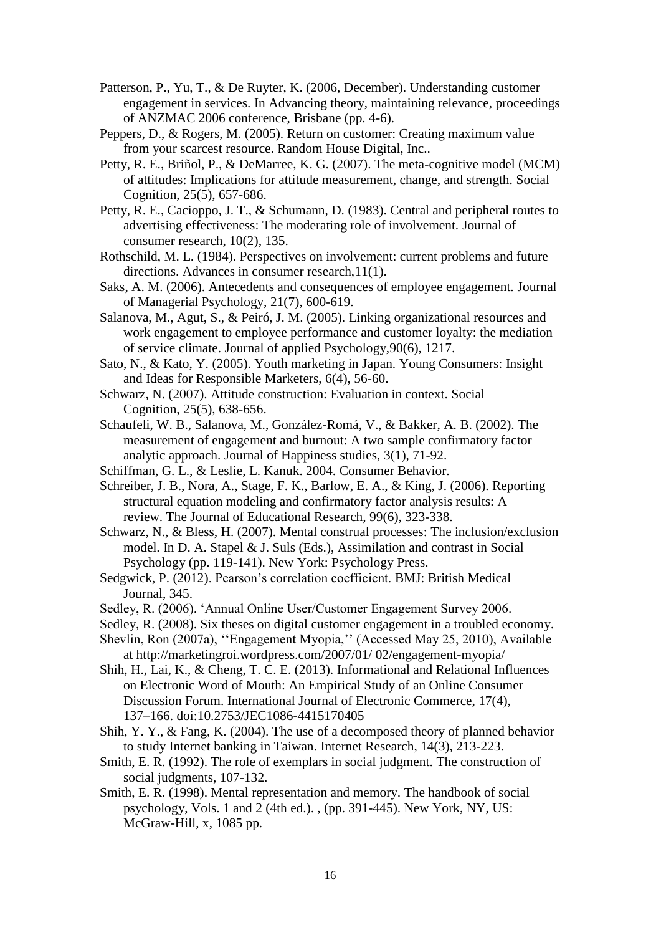- Patterson, P., Yu, T., & De Ruyter, K. (2006, December). Understanding customer engagement in services. In Advancing theory, maintaining relevance, proceedings of ANZMAC 2006 conference, Brisbane (pp. 4-6).
- Peppers, D., & Rogers, M. (2005). Return on customer: Creating maximum value from your scarcest resource. Random House Digital, Inc..
- Petty, R. E., Briñol, P., & DeMarree, K. G. (2007). The meta-cognitive model (MCM) of attitudes: Implications for attitude measurement, change, and strength. Social Cognition, 25(5), 657-686.
- Petty, R. E., Cacioppo, J. T., & Schumann, D. (1983). Central and peripheral routes to advertising effectiveness: The moderating role of involvement. Journal of consumer research, 10(2), 135.
- Rothschild, M. L. (1984). Perspectives on involvement: current problems and future directions. Advances in consumer research,11(1).
- Saks, A. M. (2006). Antecedents and consequences of employee engagement. Journal of Managerial Psychology, 21(7), 600-619.
- Salanova, M., Agut, S., & Peiró, J. M. (2005). Linking organizational resources and work engagement to employee performance and customer loyalty: the mediation of service climate. Journal of applied Psychology,90(6), 1217.
- Sato, N., & Kato, Y. (2005). Youth marketing in Japan. Young Consumers: Insight and Ideas for Responsible Marketers, 6(4), 56-60.
- Schwarz, N. (2007). Attitude construction: Evaluation in context. Social Cognition, 25(5), 638-656.
- Schaufeli, W. B., Salanova, M., González-Romá, V., & Bakker, A. B. (2002). The measurement of engagement and burnout: A two sample confirmatory factor analytic approach. Journal of Happiness studies, 3(1), 71-92.
- Schiffman, G. L., & Leslie, L. Kanuk. 2004. Consumer Behavior.
- Schreiber, J. B., Nora, A., Stage, F. K., Barlow, E. A., & King, J. (2006). Reporting structural equation modeling and confirmatory factor analysis results: A review. The Journal of Educational Research, 99(6), 323-338.
- Schwarz, N., & Bless, H. (2007). Mental construal processes: The inclusion/exclusion model. In [D. A. Stapel](http://en.wikipedia.org/wiki/Diederik_Stapel) & J. Suls (Eds.), Assimilation and contrast in Social Psychology (pp. 119-141). New York: Psychology Press.
- Sedgwick, P. (2012). Pearson's correlation coefficient. BMJ: British Medical Journal, 345.
- Sedley, R. (2006). 'Annual Online User/Customer Engagement Survey 2006.
- Sedley, R. (2008). Six theses on digital customer engagement in a troubled economy.
- Shevlin, Ron (2007a), ''Engagement Myopia,'' (Accessed May 25, 2010), Available at http://marketingroi.wordpress.com/2007/01/ 02/engagement-myopia/
- Shih, H., Lai, K., & Cheng, T. C. E. (2013). Informational and Relational Influences on Electronic Word of Mouth: An Empirical Study of an Online Consumer Discussion Forum. International Journal of Electronic Commerce, 17(4), 137–166. doi:10.2753/JEC1086-4415170405
- Shih, Y. Y., & Fang, K. (2004). The use of a decomposed theory of planned behavior to study Internet banking in Taiwan. Internet Research, 14(3), 213-223.
- Smith, E. R. (1992). The role of exemplars in social judgment. The construction of social judgments, 107-132.
- Smith, E. R. (1998). Mental representation and memory. The handbook of social psychology, Vols. 1 and 2 (4th ed.). , (pp. 391-445). New York, NY, US: McGraw-Hill, x, 1085 pp.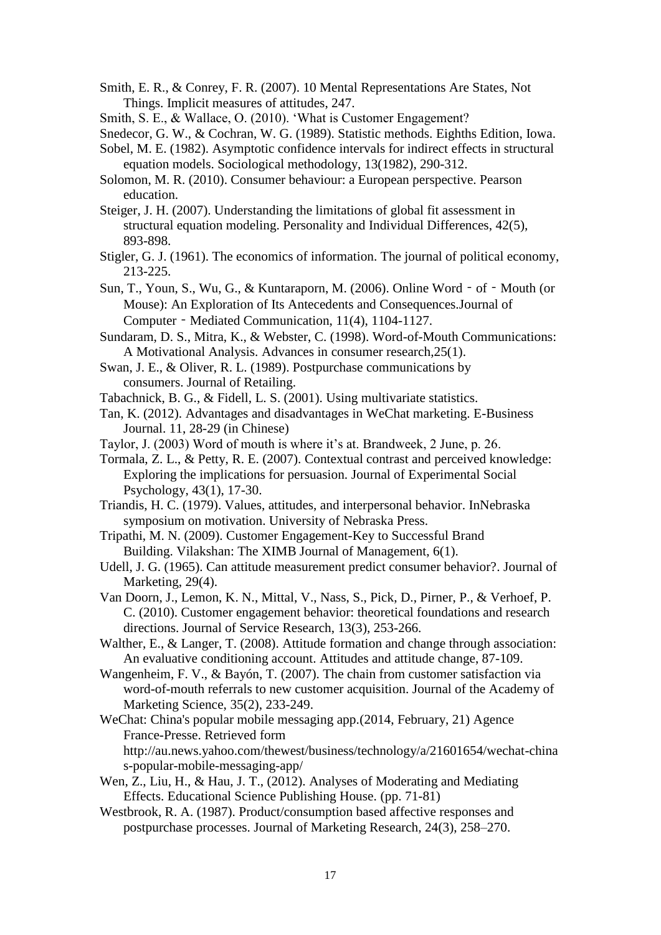- Smith, E. R., & Conrey, F. R. (2007). 10 Mental Representations Are States, Not Things. Implicit measures of attitudes, 247.
- Smith, S. E., & Wallace, O. (2010). 'What is Customer Engagement?

Snedecor, G. W., & Cochran, W. G. (1989). Statistic methods. Eighths Edition, Iowa.

Sobel, M. E. (1982). Asymptotic confidence intervals for indirect effects in structural equation models. Sociological methodology, 13(1982), 290-312.

- Solomon, M. R. (2010). Consumer behaviour: a European perspective. Pearson education.
- Steiger, J. H. (2007). Understanding the limitations of global fit assessment in structural equation modeling. Personality and Individual Differences, 42(5), 893-898.
- Stigler, G. J. (1961). The economics of information. The journal of political economy, 213-225.
- Sun, T., Youn, S., Wu, G., & Kuntaraporn, M. (2006). Online Word of Mouth (or Mouse): An Exploration of Its Antecedents and Consequences.Journal of Computer - Mediated Communication, 11(4), 1104-1127.
- Sundaram, D. S., Mitra, K., & Webster, C. (1998). Word-of-Mouth Communications: A Motivational Analysis. Advances in consumer research,25(1).
- Swan, J. E., & Oliver, R. L. (1989). Postpurchase communications by consumers. Journal of Retailing.
- Tabachnick, B. G., & Fidell, L. S. (2001). Using multivariate statistics.
- Tan, K. (2012). Advantages and disadvantages in WeChat marketing. [E-Business](http://c.g.wanfangdata.com.hk.libezproxy.must.edu.mo/Periodical-dianzsw.aspx)  [Journal.](http://c.g.wanfangdata.com.hk.libezproxy.must.edu.mo/Periodical-dianzsw.aspx) 11, 28-29 (in Chinese)
- Taylor, J. (2003) Word of mouth is where it's at. Brandweek, 2 June, p. 26.
- Tormala, Z. L., & Petty, R. E. (2007). Contextual contrast and perceived knowledge: Exploring the implications for persuasion. Journal of Experimental Social Psychology, 43(1), 17-30.
- Triandis, H. C. (1979). Values, attitudes, and interpersonal behavior. InNebraska symposium on motivation. University of Nebraska Press.
- Tripathi, M. N. (2009). Customer Engagement-Key to Successful Brand Building. Vilakshan: The XIMB Journal of Management, 6(1).
- Udell, J. G. (1965). Can attitude measurement predict consumer behavior?. Journal of Marketing, 29(4).
- Van Doorn, J., Lemon, K. N., Mittal, V., Nass, S., Pick, D., Pirner, P., & Verhoef, P. C. (2010). Customer engagement behavior: theoretical foundations and research directions. Journal of Service Research, 13(3), 253-266.
- Walther, E., & Langer, T. (2008). Attitude formation and change through association: An evaluative conditioning account. Attitudes and attitude change, 87-109.
- Wangenheim, F. V., & Bayón, T. (2007). The chain from customer satisfaction via word-of-mouth referrals to new customer acquisition. Journal of the Academy of Marketing Science, 35(2), 233-249.
- WeChat: China's popular mobile messaging app.(2014, February, 21) Agence France-Presse. Retrieved form http://au.news.yahoo.com/thewest/business/technology/a/21601654/wechat-china s-popular-mobile-messaging-app/
- Wen, Z., Liu, H., & Hau, J. T., (2012). Analyses of Moderating and Mediating Effects. Educational Science Publishing House. (pp. 71-81)
- Westbrook, R. A. (1987). Product/consumption based affective responses and postpurchase processes. Journal of Marketing Research, 24(3), 258–270.